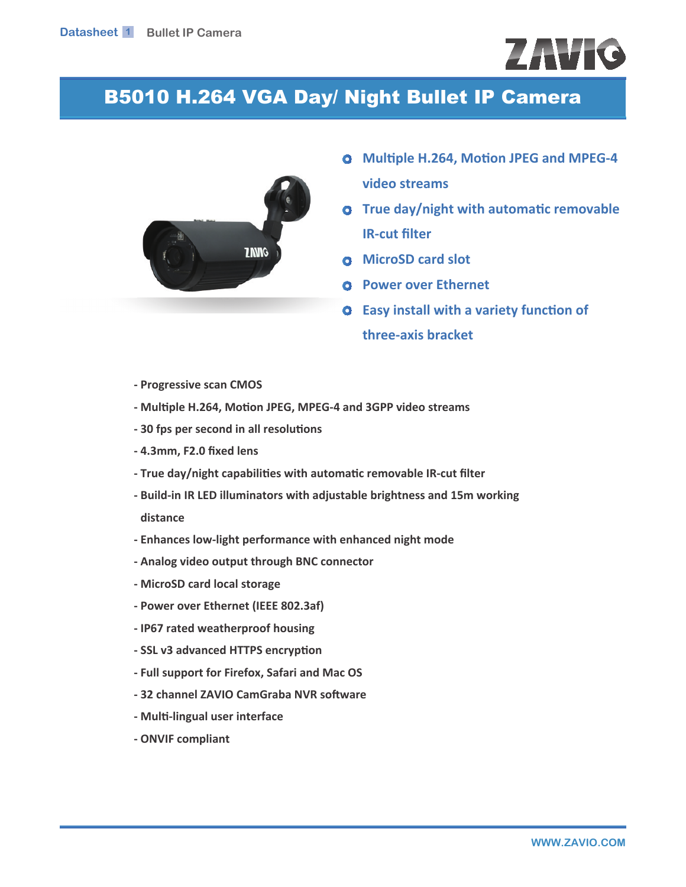# ZAVIC

## B5010 H.264 VGA Day/ Night Bullet IP Camera



- **O** Multiple H.264, Motion JPEG and MPEG-4 **video streams**
- **o** True day/night with automatic removable *IR-cut filter*
- **D** MicroSD card slot
- **G** Power over Ethernet
- $\bullet$  Easy install with a variety function of three-axis bracket
- **Progressive scan CMOS**
- Multiple H.264, Motion JPEG, MPEG-4 and 3GPP video streams
- 30 fps per second in all resolutions
- **4.3mm, F2.0 fixed lens**
- True day/night capabilities with automatic removable IR-cut filter
- Build-in IR LED illuminators with adjustable brightness and 15m working distance
- Enhances low-light performance with enhanced night mode
- **Analog video output through BNC connector**
- **MicroSD card local storage**
- **Power over Ethernet (IEEE 802.3af)**
- **IP67 rated weatherproof housing**
- **SSL v3 advanced HTTPS encryption**
- **Full support for Firefox, Safari and Mac OS**
- 32 channel ZAVIO CamGraba NVR software
- **Multi-lingual user interface**
- **ONVIF compliant**